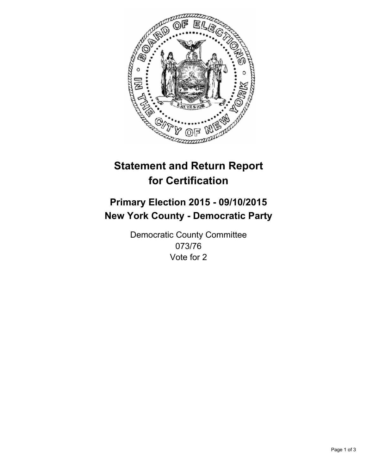

# **Statement and Return Report for Certification**

## **Primary Election 2015 - 09/10/2015 New York County - Democratic Party**

Democratic County Committee 073/76 Vote for 2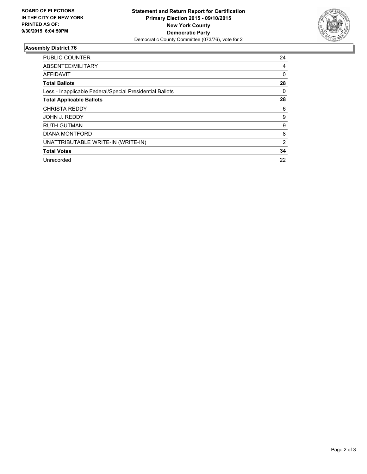

### **Assembly District 76**

| <b>PUBLIC COUNTER</b>                                    | 24             |
|----------------------------------------------------------|----------------|
| ABSENTEE/MILITARY                                        | 4              |
| <b>AFFIDAVIT</b>                                         | $\Omega$       |
| <b>Total Ballots</b>                                     | 28             |
| Less - Inapplicable Federal/Special Presidential Ballots | 0              |
| <b>Total Applicable Ballots</b>                          | 28             |
| <b>CHRISTA REDDY</b>                                     | 6              |
| JOHN J. REDDY                                            | 9              |
| <b>RUTH GUTMAN</b>                                       | 9              |
| <b>DIANA MONTFORD</b>                                    | 8              |
| UNATTRIBUTABLE WRITE-IN (WRITE-IN)                       | $\overline{2}$ |
| <b>Total Votes</b>                                       | 34             |
| Unrecorded                                               | 22             |